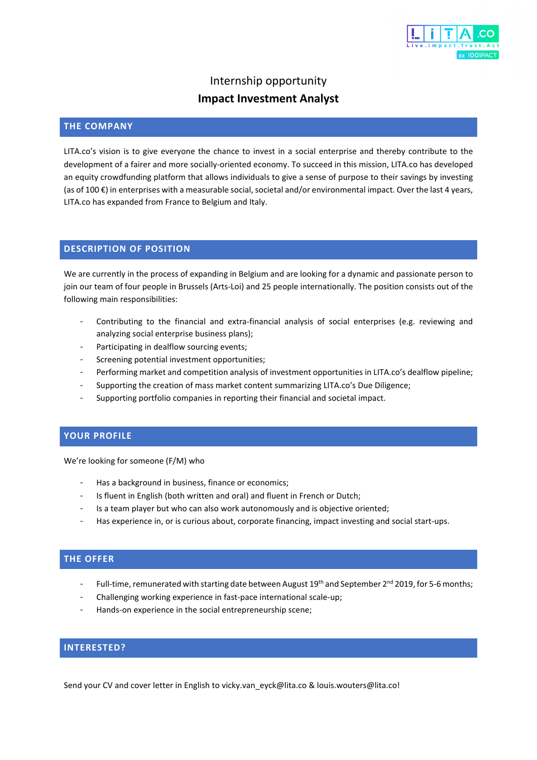

# Internship opportunity **Impact Investment Analyst**

### **THE COMPANY**

LITA.co's vision is to give everyone the chance to invest in a social enterprise and thereby contribute to the development of a fairer and more socially-oriented economy. To succeed in this mission, LITA.co has developed an equity crowdfunding platform that allows individuals to give a sense of purpose to their savings by investing (as of 100 €) in enterprises with a measurable social, societal and/or environmental impact. Over the last 4 years, LITA.co has expanded from France to Belgium and Italy.

### **DESCRIPTION OF POSITION**

We are currently in the process of expanding in Belgium and are looking for a dynamic and passionate person to join our team of four people in Brussels (Arts-Loi) and 25 people internationally. The position consists out of the following main responsibilities:

- Contributing to the financial and extra-financial analysis of social enterprises (e.g. reviewing and analyzing social enterprise business plans);
- Participating in dealflow sourcing events;
- Screening potential investment opportunities;
- Performing market and competition analysis of investment opportunities in LITA.co's dealflow pipeline;
- Supporting the creation of mass market content summarizing LITA.co's Due Diligence;
- Supporting portfolio companies in reporting their financial and societal impact.

#### **YOUR PROFILE**

We're looking for someone (F/M) who

- Has a background in business, finance or economics;
- Is fluent in English (both written and oral) and fluent in French or Dutch;
- Is a team player but who can also work autonomously and is objective oriented;
- Has experience in, or is curious about, corporate financing, impact investing and social start-ups.

### **THE OFFER**

- Full-time, remunerated with starting date between August 19<sup>th</sup> and September 2<sup>nd</sup> 2019, for 5-6 months;
- Challenging working experience in fast-pace international scale-up;
- Hands-on experience in the social entrepreneurship scene;

# **INTERESTED?**

Send your CV and cover letter in English to vicky.van\_eyck@lita.co & louis.wouters@lita.co!